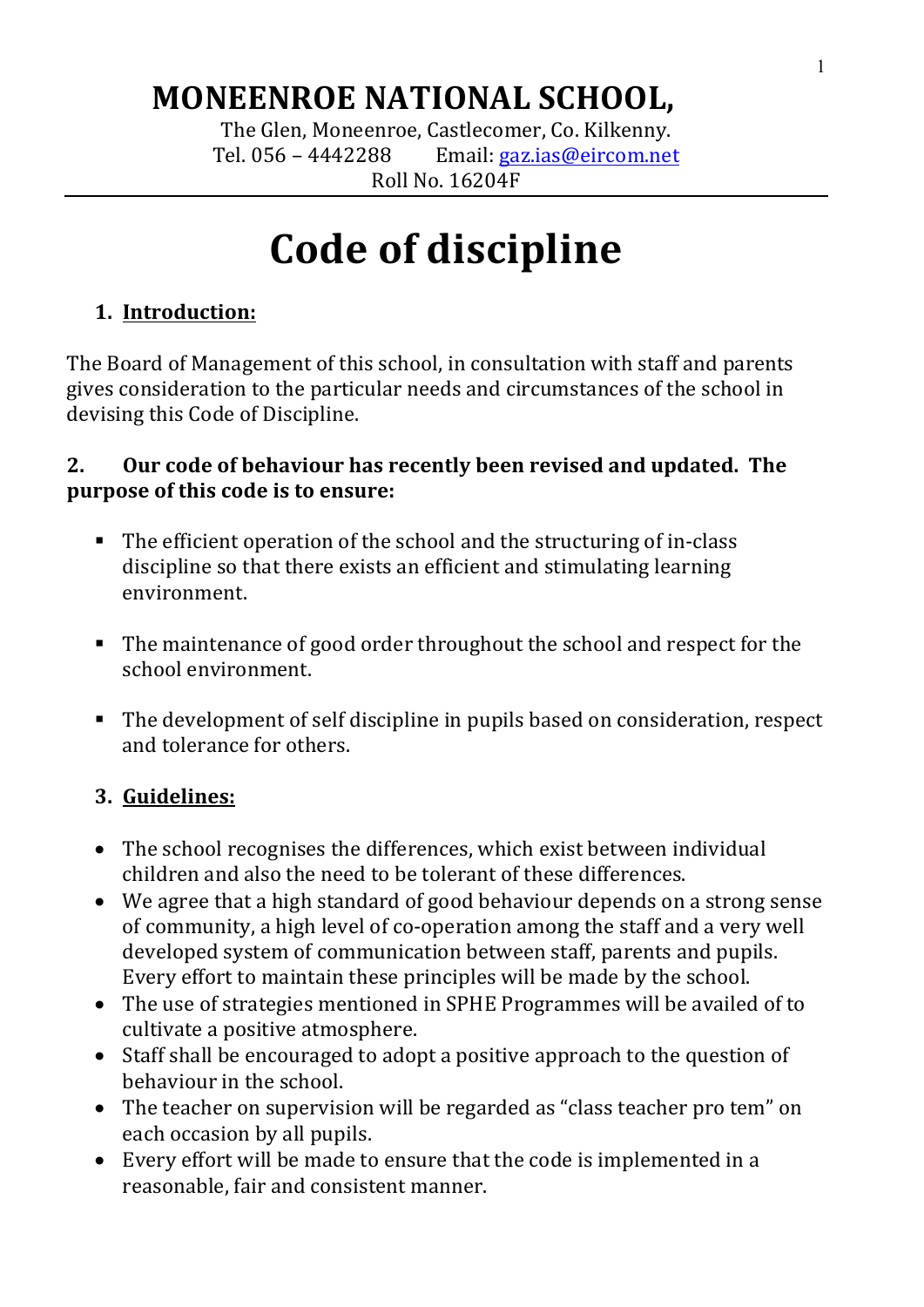# **MONEENROE NATIONAL SCHOOL,**

The Glen, Moneenroe, Castlecomer, Co. Kilkenny. Tel.  $056 - 4442288$  Email:  $gaz.ias@eircom.net$ Roll No. 16204F

# **Code of discipline**

# **1.** Introduction:

The Board of Management of this school, in consultation with staff and parents gives consideration to the particular needs and circumstances of the school in devising this Code of Discipline.

#### **2.** Our code of behaviour has recently been revised and updated. The **purpose of this code is to ensure:**

- The efficient operation of the school and the structuring of in-class discipline so that there exists an efficient and stimulating learning environment.
- The maintenance of good order throughout the school and respect for the school environment.
- The development of self discipline in pupils based on consideration, respect and tolerance for others.

## **3. Guidelines:**

- The school recognises the differences, which exist between individual children and also the need to be tolerant of these differences.
- We agree that a high standard of good behaviour depends on a strong sense of community, a high level of co-operation among the staff and a very well developed system of communication between staff, parents and pupils. Every effort to maintain these principles will be made by the school.
- The use of strategies mentioned in SPHE Programmes will be availed of to cultivate a positive atmosphere.
- Staff shall be encouraged to adopt a positive approach to the question of behaviour in the school.
- The teacher on supervision will be regarded as "class teacher pro tem" on each occasion by all pupils.
- Every effort will be made to ensure that the code is implemented in a reasonable, fair and consistent manner.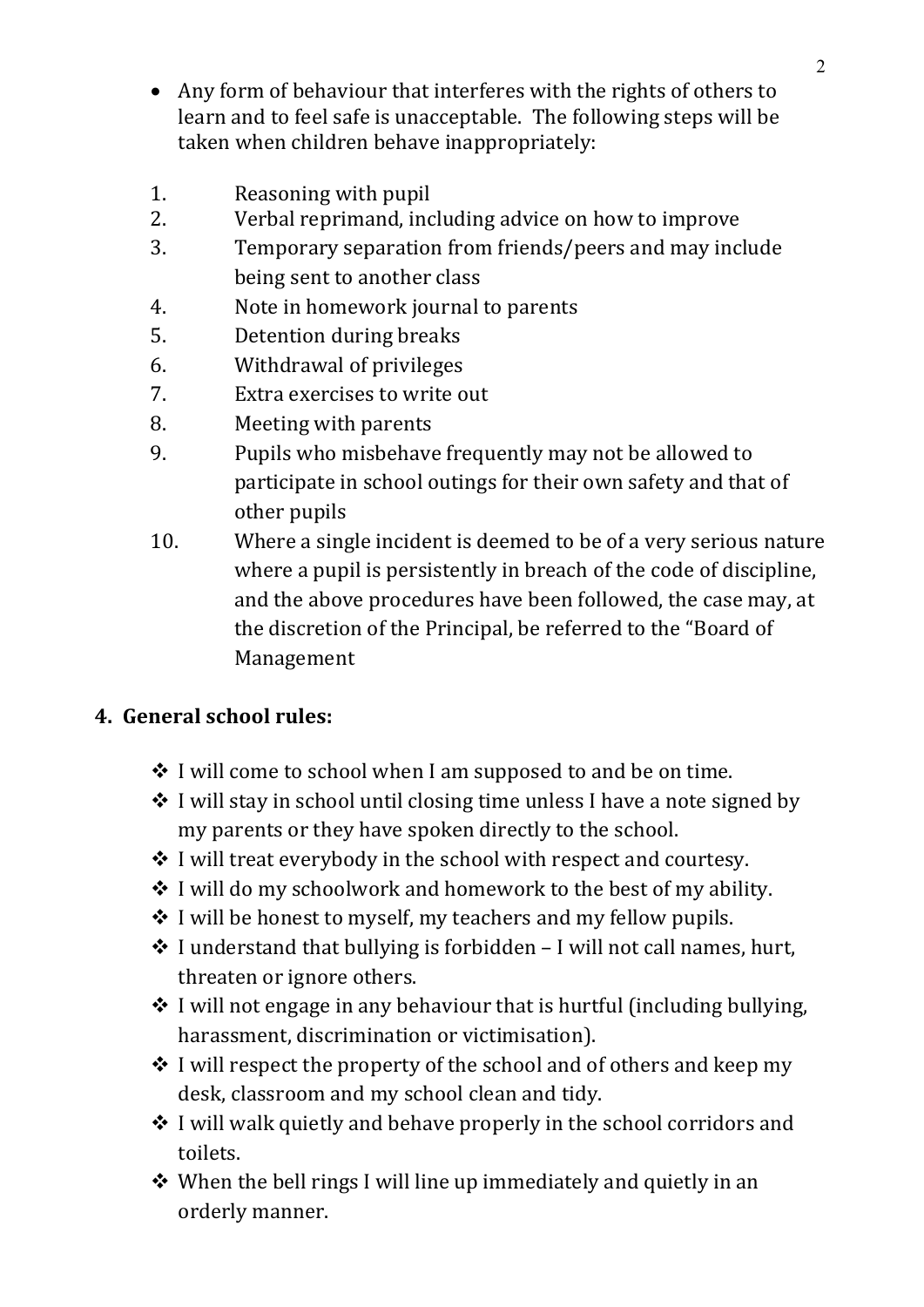- Any form of behaviour that interferes with the rights of others to learn and to feel safe is unacceptable. The following steps will be taken when children behave inappropriately:
- 1. Reasoning with pupil
- 2. Verbal reprimand, including advice on how to improve
- 3. Temporary separation from friends/peers and may include being sent to another class
- 4. Note in homework journal to parents
- 5. Detention during breaks
- 6. Withdrawal of privileges
- 7. Extra exercises to write out
- 8. Meeting with parents
- 9. Pupils who misbehave frequently may not be allowed to participate in school outings for their own safety and that of other pupils
- 10. Where a single incident is deemed to be of a very serious nature where a pupil is persistently in breach of the code of discipline, and the above procedures have been followed, the case may, at the discretion of the Principal, be referred to the "Board of Management

### **4. General school rules:**

- $\cdot$  I will come to school when I am supposed to and be on time.
- $\cdot$  I will stay in school until closing time unless I have a note signed by my parents or they have spoken directly to the school.
- $\cdot$  I will treat everybody in the school with respect and courtesy.
- $\cdot$  I will do my schoolwork and homework to the best of my ability.
- $\cdot$  I will be honest to myself, my teachers and my fellow pupils.
- $\cdot$  I understand that bullying is forbidden I will not call names, hurt, threaten or ignore others.
- $\cdot$  I will not engage in any behaviour that is hurtful (including bullying, harassment, discrimination or victimisation).
- $\cdot$  I will respect the property of the school and of others and keep my desk, classroom and my school clean and tidy.
- $\cdot$  I will walk quietly and behave properly in the school corridors and toilets.
- $\cdot$  When the bell rings I will line up immediately and quietly in an orderly manner.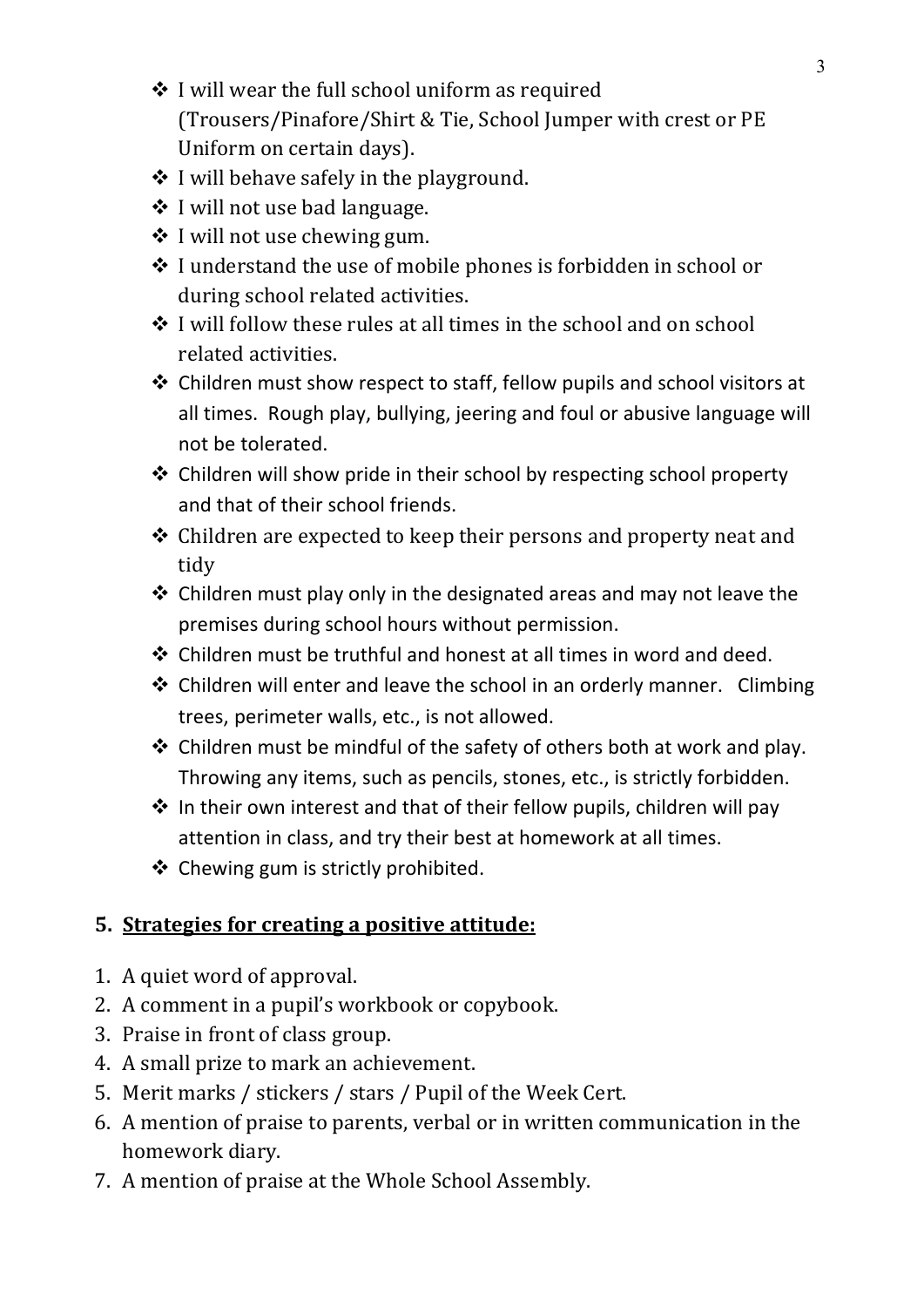- $\cdot$  I will wear the full school uniform as required (Trousers/Pinafore/Shirt & Tie, School Jumper with crest or PE Uniform on certain days).
- $\div$  I will behave safely in the playground.
- $\div$  I will not use bad language.
- $\triangleleft$  I will not use chewing gum.
- $\cdot$  I understand the use of mobile phones is forbidden in school or during school related activities.
- $\div$  I will follow these rules at all times in the school and on school related activities.
- $\cdot$  Children must show respect to staff, fellow pupils and school visitors at all times. Rough play, bullying, jeering and foul or abusive language will not be tolerated.
- ❖ Children will show pride in their school by respecting school property and that of their school friends.
- $\triangle$  Children are expected to keep their persons and property neat and tidy
- $\cdot$  Children must play only in the designated areas and may not leave the premises during school hours without permission.
- $\div$  Children must be truthful and honest at all times in word and deed.
- ❖ Children will enter and leave the school in an orderly manner. Climbing trees, perimeter walls, etc., is not allowed.
- $\cdot$  Children must be mindful of the safety of others both at work and play. Throwing any items, such as pencils, stones, etc., is strictly forbidden.
- $\cdot$  In their own interest and that of their fellow pupils, children will pay attention in class, and try their best at homework at all times.
- $\triangleleft$  Chewing gum is strictly prohibited.

### **5. Strategies for creating a positive attitude:**

- 1. A quiet word of approval.
- 2. A comment in a pupil's workbook or copybook.
- 3. Praise in front of class group.
- 4. A small prize to mark an achievement.
- 5. Merit marks / stickers / stars / Pupil of the Week Cert.
- 6. A mention of praise to parents, verbal or in written communication in the homework diary.
- 7. A mention of praise at the Whole School Assembly.